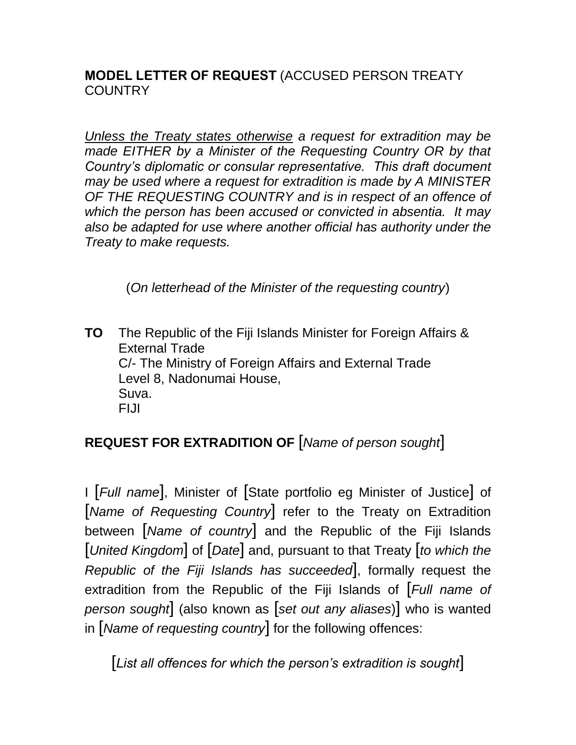## **MODEL LETTER OF REQUEST** (ACCUSED PERSON TREATY **COUNTRY**

*Unless the Treaty states otherwise a request for extradition may be made EITHER by a Minister of the Requesting Country OR by that Country's diplomatic or consular representative. This draft document may be used where a request for extradition is made by A MINISTER OF THE REQUESTING COUNTRY and is in respect of an offence of which the person has been accused or convicted in absentia. It may also be adapted for use where another official has authority under the Treaty to make requests.*

(*On letterhead of the Minister of the requesting country*)

**TO** The Republic of the Fiji Islands Minister for Foreign Affairs & External Trade C/- The Ministry of Foreign Affairs and External Trade Level 8, Nadonumai House, Suva. FIJI

## **REQUEST FOR EXTRADITION OF** [*Name of person sought*]

I [*Full name*], Minister of [State portfolio eg Minister of Justice] of [*Name of Requesting Country*] refer to the Treaty on Extradition between [*Name of country*] and the Republic of the Fiji Islands [*United Kingdom*] of [*Date*] and, pursuant to that Treaty [*to which the Republic of the Fiji Islands has succeeded*], formally request the extradition from the Republic of the Fiji Islands of [*Full name of person sought*] (also known as [*set out any aliases*)] who is wanted in [*Name of requesting country*] for the following offences:

[*List all offences for which the person's extradition is sought*]